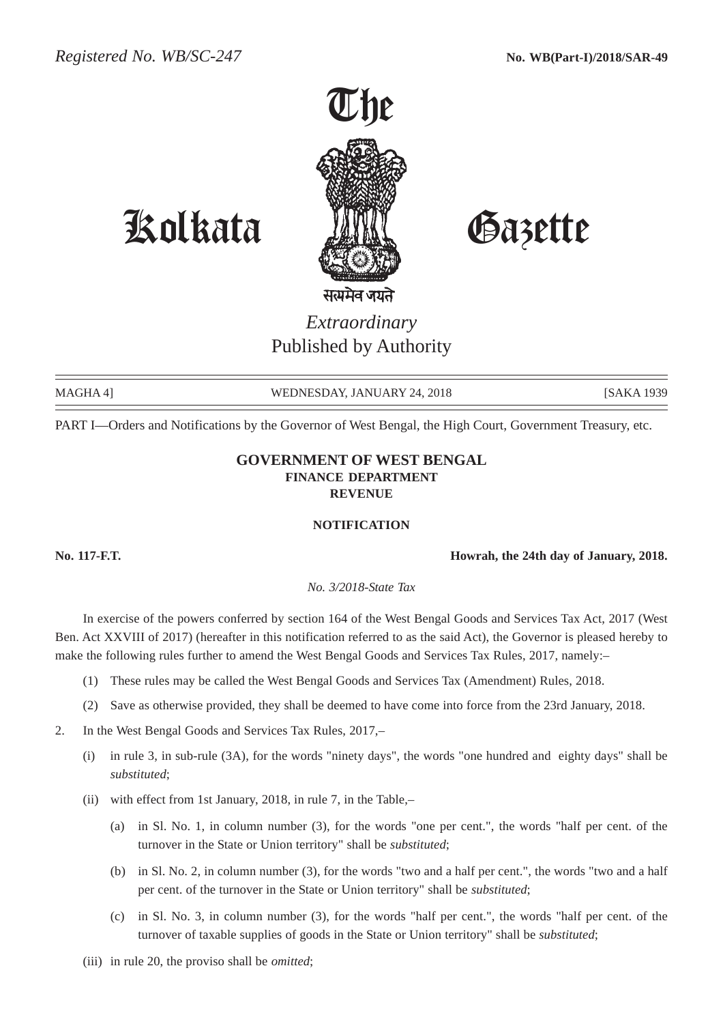

# Kolkata Gazette

*Extraordinary* Published by Authority

MAGHA 4] WEDNESDAY, JANUARY 24, 2018 [SAKA 1939

PART I—Orders and Notifications by the Governor of West Bengal, the High Court, Government Treasury, etc.

# **GOVERNMENT OF WEST BENGAL FINANCE DEPARTMENT REVENUE**

# **NOTIFICATION**

**No. 117-F.T. Howrah, the 24th day of January, 2018.**

*No. 3/2018-State Tax*

In exercise of the powers conferred by section 164 of the West Bengal Goods and Services Tax Act, 2017 (West Ben. Act XXVIII of 2017) (hereafter in this notification referred to as the said Act), the Governor is pleased hereby to make the following rules further to amend the West Bengal Goods and Services Tax Rules, 2017, namely:–

- (1) These rules may be called the West Bengal Goods and Services Tax (Amendment) Rules, 2018.
- (2) Save as otherwise provided, they shall be deemed to have come into force from the 23rd January, 2018.

2. In the West Bengal Goods and Services Tax Rules, 2017,–

- (i) in rule 3, in sub-rule (3A), for the words "ninety days", the words "one hundred and eighty days" shall be *substituted*;
- (ii) with effect from 1st January, 2018, in rule 7, in the Table,–
	- (a) in Sl. No. 1, in column number (3), for the words "one per cent.", the words "half per cent. of the turnover in the State or Union territory" shall be *substituted*;
	- (b) in Sl. No. 2, in column number (3), for the words "two and a half per cent.", the words "two and a half per cent. of the turnover in the State or Union territory" shall be *substituted*;
	- (c) in Sl. No. 3, in column number (3), for the words "half per cent.", the words "half per cent. of the turnover of taxable supplies of goods in the State or Union territory" shall be *substituted*;
- (iii) in rule 20, the proviso shall be *omitted*;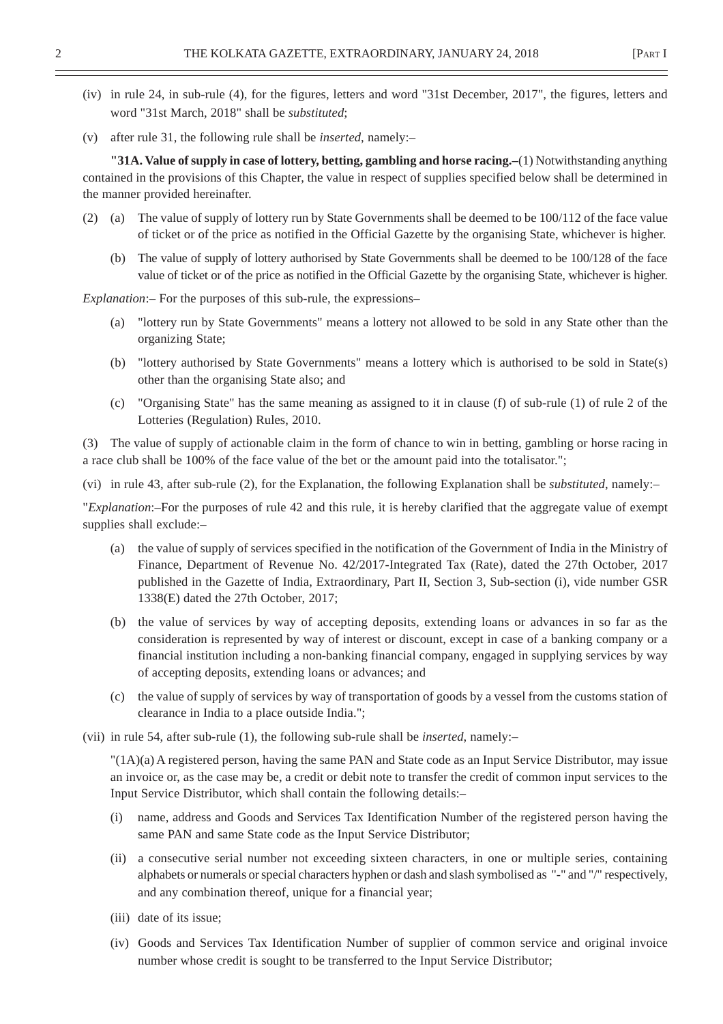- (iv) in rule 24, in sub-rule (4), for the figures, letters and word "31st December, 2017", the figures, letters and word "31st March, 2018" shall be *substituted*;
- (v) after rule 31, the following rule shall be *inserted*, namely:–

**"31A. Value of supply in case of lottery, betting, gambling and horse racing.–**(1) Notwithstanding anything contained in the provisions of this Chapter, the value in respect of supplies specified below shall be determined in the manner provided hereinafter.

- (2) (a) The value of supply of lottery run by State Governments shall be deemed to be 100/112 of the face value of ticket or of the price as notified in the Official Gazette by the organising State, whichever is higher.
	- (b) The value of supply of lottery authorised by State Governments shall be deemed to be 100/128 of the face value of ticket or of the price as notified in the Official Gazette by the organising State, whichever is higher.

*Explanation*:– For the purposes of this sub-rule, the expressions–

- (a) "lottery run by State Governments" means a lottery not allowed to be sold in any State other than the organizing State;
- (b) "lottery authorised by State Governments" means a lottery which is authorised to be sold in State(s) other than the organising State also; and
- (c) "Organising State" has the same meaning as assigned to it in clause (f) of sub-rule (1) of rule 2 of the Lotteries (Regulation) Rules, 2010.

(3) The value of supply of actionable claim in the form of chance to win in betting, gambling or horse racing in a race club shall be 100% of the face value of the bet or the amount paid into the totalisator.";

(vi) in rule 43, after sub-rule (2), for the Explanation, the following Explanation shall be *substituted*, namely:–

"*Explanation*:–For the purposes of rule 42 and this rule, it is hereby clarified that the aggregate value of exempt supplies shall exclude:–

- (a) the value of supply of services specified in the notification of the Government of India in the Ministry of Finance, Department of Revenue No. 42/2017-Integrated Tax (Rate), dated the 27th October, 2017 published in the Gazette of India, Extraordinary, Part II, Section 3, Sub-section (i), vide number GSR 1338(E) dated the 27th October, 2017;
- (b) the value of services by way of accepting deposits, extending loans or advances in so far as the consideration is represented by way of interest or discount, except in case of a banking company or a financial institution including a non-banking financial company, engaged in supplying services by way of accepting deposits, extending loans or advances; and
- (c) the value of supply of services by way of transportation of goods by a vessel from the customs station of clearance in India to a place outside India.";
- (vii) in rule 54, after sub-rule (1), the following sub-rule shall be *inserted*, namely:–

"(1A)(a) A registered person, having the same PAN and State code as an Input Service Distributor, may issue an invoice or, as the case may be, a credit or debit note to transfer the credit of common input services to the Input Service Distributor, which shall contain the following details:–

- (i) name, address and Goods and Services Tax Identification Number of the registered person having the same PAN and same State code as the Input Service Distributor;
- (ii) a consecutive serial number not exceeding sixteen characters, in one or multiple series, containing alphabets or numerals or special characters hyphen or dash and slash symbolised as "-" and "/" respectively, and any combination thereof, unique for a financial year;
- (iii) date of its issue;
- (iv) Goods and Services Tax Identification Number of supplier of common service and original invoice number whose credit is sought to be transferred to the Input Service Distributor;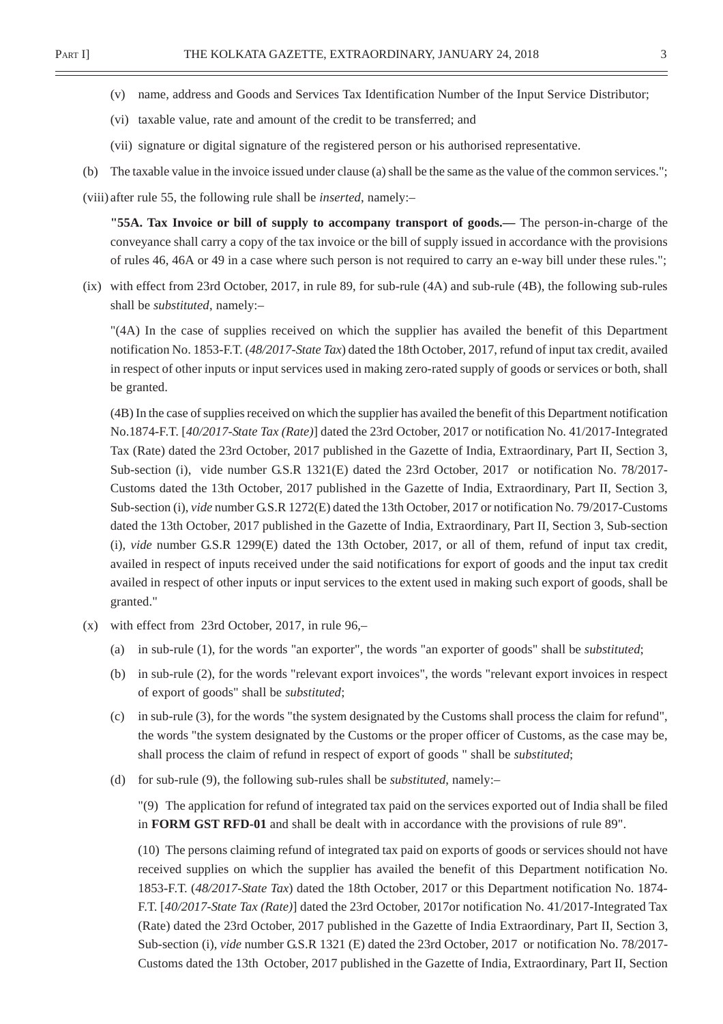- (v) name, address and Goods and Services Tax Identification Number of the Input Service Distributor;
- (vi) taxable value, rate and amount of the credit to be transferred; and
- (vii) signature or digital signature of the registered person or his authorised representative.
- (b) The taxable value in the invoice issued under clause (a) shall be the same as the value of the common services.";

(viii) after rule 55, the following rule shall be *inserted*, namely:–

**"55A. Tax Invoice or bill of supply to accompany transport of goods.—** The person-in-charge of the conveyance shall carry a copy of the tax invoice or the bill of supply issued in accordance with the provisions of rules 46, 46A or 49 in a case where such person is not required to carry an e-way bill under these rules.";

(ix) with effect from 23rd October, 2017, in rule 89, for sub-rule (4A) and sub-rule (4B), the following sub-rules shall be *substituted*, namely:–

"(4A) In the case of supplies received on which the supplier has availed the benefit of this Department notification No. 1853-F.T. (*48/2017-State Tax*) dated the 18th October, 2017, refund of input tax credit, availed in respect of other inputs or input services used in making zero-rated supply of goods or services or both, shall be granted.

(4B) In the case of supplies received on which the supplier has availed the benefit of this Department notification No.1874-F.T. [*40/2017-State Tax (Rate)*] dated the 23rd October, 2017 or notification No. 41/2017-Integrated Tax (Rate) dated the 23rd October, 2017 published in the Gazette of India, Extraordinary, Part II, Section 3, Sub-section (i), vide number G.S.R 1321(E) dated the 23rd October, 2017 or notification No. 78/2017- Customs dated the 13th October, 2017 published in the Gazette of India, Extraordinary, Part II, Section 3, Sub-section (i), *vide* number G.S.R 1272(E) dated the 13th October, 2017 or notification No. 79/2017-Customs dated the 13th October, 2017 published in the Gazette of India, Extraordinary, Part II, Section 3, Sub-section (i), *vide* number G.S.R 1299(E) dated the 13th October, 2017, or all of them, refund of input tax credit, availed in respect of inputs received under the said notifications for export of goods and the input tax credit availed in respect of other inputs or input services to the extent used in making such export of goods, shall be granted."

- (x) with effect from 23rd October, 2017, in rule 96,–
	- (a) in sub-rule (1), for the words "an exporter", the words "an exporter of goods" shall be *substituted*;
	- (b) in sub-rule (2), for the words "relevant export invoices", the words "relevant export invoices in respect of export of goods" shall be *substituted*;
	- (c) in sub-rule (3), for the words "the system designated by the Customs shall process the claim for refund", the words "the system designated by the Customs or the proper officer of Customs, as the case may be, shall process the claim of refund in respect of export of goods " shall be *substituted*;
	- (d) for sub-rule (9), the following sub-rules shall be *substituted*, namely:–

"(9) The application for refund of integrated tax paid on the services exported out of India shall be filed in **FORM GST RFD-01** and shall be dealt with in accordance with the provisions of rule 89".

(10) The persons claiming refund of integrated tax paid on exports of goods or services should not have received supplies on which the supplier has availed the benefit of this Department notification No. 1853-F.T. (*48/2017-State Tax*) dated the 18th October, 2017 or this Department notification No. 1874- F.T. [*40/2017-State Tax (Rate)*] dated the 23rd October, 2017or notification No. 41/2017-Integrated Tax (Rate) dated the 23rd October, 2017 published in the Gazette of India Extraordinary, Part II, Section 3, Sub-section (i), *vide* number G.S.R 1321 (E) dated the 23rd October, 2017 or notification No. 78/2017- Customs dated the 13th October, 2017 published in the Gazette of India, Extraordinary, Part II, Section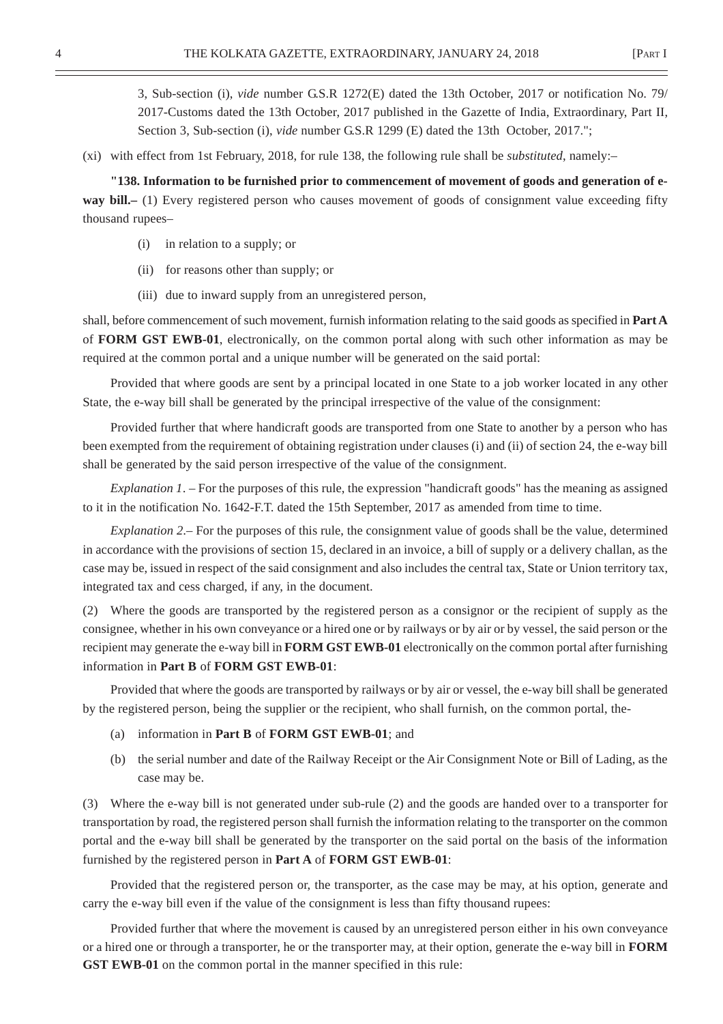3, Sub-section (i), *vide* number G.S.R 1272(E) dated the 13th October, 2017 or notification No. 79/ 2017-Customs dated the 13th October, 2017 published in the Gazette of India, Extraordinary, Part II, Section 3, Sub-section (i), *vide* number G.S.R 1299 (E) dated the 13th October, 2017.";

(xi) with effect from 1st February, 2018, for rule 138, the following rule shall be *substituted*, namely:–

**"138. Information to be furnished prior to commencement of movement of goods and generation of eway bill.**– (1) Every registered person who causes movement of goods of consignment value exceeding fifty thousand rupees–

- (i) in relation to a supply; or
- (ii) for reasons other than supply; or
- (iii) due to inward supply from an unregistered person,

shall, before commencement of such movement, furnish information relating to the said goods as specified in **Part A** of **FORM GST EWB-01**, electronically, on the common portal along with such other information as may be required at the common portal and a unique number will be generated on the said portal:

Provided that where goods are sent by a principal located in one State to a job worker located in any other State, the e-way bill shall be generated by the principal irrespective of the value of the consignment:

Provided further that where handicraft goods are transported from one State to another by a person who has been exempted from the requirement of obtaining registration under clauses (i) and (ii) of section 24, the e-way bill shall be generated by the said person irrespective of the value of the consignment.

*Explanation 1*. – For the purposes of this rule, the expression "handicraft goods" has the meaning as assigned to it in the notification No. 1642-F.T. dated the 15th September, 2017 as amended from time to time.

*Explanation 2*.– For the purposes of this rule, the consignment value of goods shall be the value, determined in accordance with the provisions of section 15, declared in an invoice, a bill of supply or a delivery challan, as the case may be, issued in respect of the said consignment and also includes the central tax, State or Union territory tax, integrated tax and cess charged, if any, in the document.

(2) Where the goods are transported by the registered person as a consignor or the recipient of supply as the consignee, whether in his own conveyance or a hired one or by railways or by air or by vessel, the said person or the recipient may generate the e-way bill in **FORM GST EWB-01** electronically on the common portal after furnishing information in **Part B** of **FORM GST EWB-01**:

Provided that where the goods are transported by railways or by air or vessel, the e-way bill shall be generated by the registered person, being the supplier or the recipient, who shall furnish, on the common portal, the-

- (a) information in **Part B** of **FORM GST EWB-01**; and
- (b) the serial number and date of the Railway Receipt or the Air Consignment Note or Bill of Lading, as the case may be.

(3) Where the e-way bill is not generated under sub-rule (2) and the goods are handed over to a transporter for transportation by road, the registered person shall furnish the information relating to the transporter on the common portal and the e-way bill shall be generated by the transporter on the said portal on the basis of the information furnished by the registered person in **Part A** of **FORM GST EWB-01**:

Provided that the registered person or, the transporter, as the case may be may, at his option, generate and carry the e-way bill even if the value of the consignment is less than fifty thousand rupees:

Provided further that where the movement is caused by an unregistered person either in his own conveyance or a hired one or through a transporter, he or the transporter may, at their option, generate the e-way bill in **FORM GST EWB-01** on the common portal in the manner specified in this rule: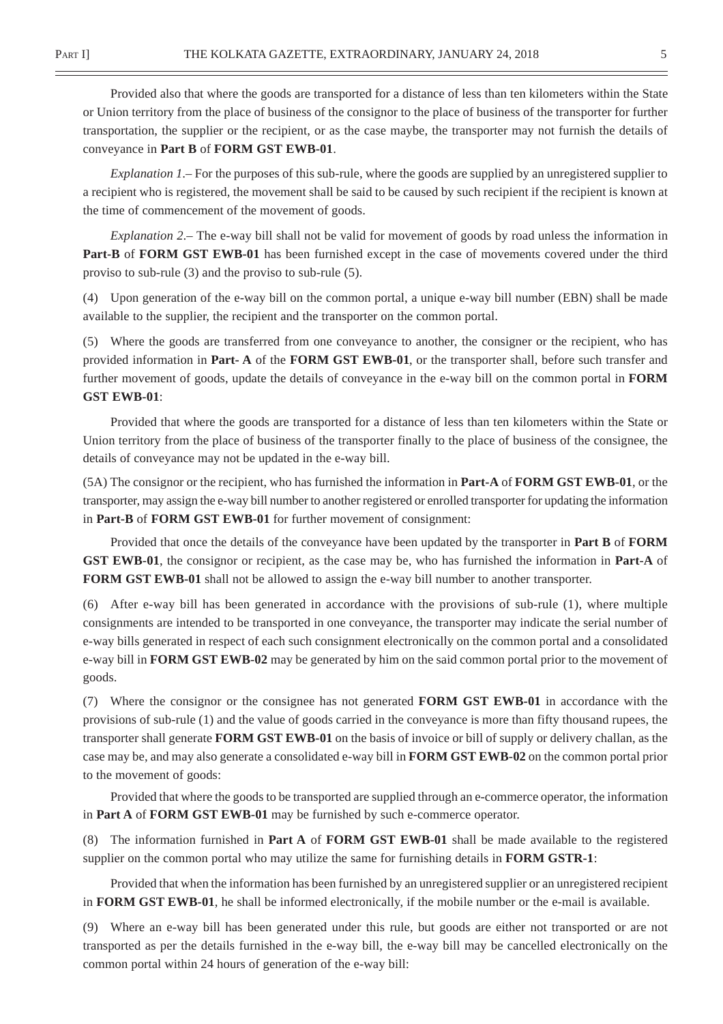Provided also that where the goods are transported for a distance of less than ten kilometers within the State or Union territory from the place of business of the consignor to the place of business of the transporter for further transportation, the supplier or the recipient, or as the case maybe, the transporter may not furnish the details of conveyance in **Part B** of **FORM GST EWB-01**.

*Explanation 1*.– For the purposes of this sub-rule, where the goods are supplied by an unregistered supplier to a recipient who is registered, the movement shall be said to be caused by such recipient if the recipient is known at the time of commencement of the movement of goods.

*Explanation 2*.– The e-way bill shall not be valid for movement of goods by road unless the information in **Part-B** of **FORM GST EWB-01** has been furnished except in the case of movements covered under the third proviso to sub-rule (3) and the proviso to sub-rule (5).

(4) Upon generation of the e-way bill on the common portal, a unique e-way bill number (EBN) shall be made available to the supplier, the recipient and the transporter on the common portal.

(5) Where the goods are transferred from one conveyance to another, the consigner or the recipient, who has provided information in **Part- A** of the **FORM GST EWB-01**, or the transporter shall, before such transfer and further movement of goods, update the details of conveyance in the e-way bill on the common portal in **FORM GST EWB-01**:

Provided that where the goods are transported for a distance of less than ten kilometers within the State or Union territory from the place of business of the transporter finally to the place of business of the consignee, the details of conveyance may not be updated in the e-way bill.

(5A) The consignor or the recipient, who has furnished the information in **Part-A** of **FORM GST EWB-01**, or the transporter, may assign the e-way bill number to another registered or enrolled transporter for updating the information in **Part-B** of **FORM GST EWB-01** for further movement of consignment:

Provided that once the details of the conveyance have been updated by the transporter in **Part B** of **FORM GST EWB-01**, the consignor or recipient, as the case may be, who has furnished the information in **Part-A** of **FORM GST EWB-01** shall not be allowed to assign the e-way bill number to another transporter.

(6) After e-way bill has been generated in accordance with the provisions of sub-rule (1), where multiple consignments are intended to be transported in one conveyance, the transporter may indicate the serial number of e-way bills generated in respect of each such consignment electronically on the common portal and a consolidated e-way bill in **FORM GST EWB-02** may be generated by him on the said common portal prior to the movement of goods.

(7) Where the consignor or the consignee has not generated **FORM GST EWB-01** in accordance with the provisions of sub-rule (1) and the value of goods carried in the conveyance is more than fifty thousand rupees, the transporter shall generate **FORM GST EWB-01** on the basis of invoice or bill of supply or delivery challan, as the case may be, and may also generate a consolidated e-way bill in **FORM GST EWB-02** on the common portal prior to the movement of goods:

Provided that where the goods to be transported are supplied through an e-commerce operator, the information in **Part A** of **FORM GST EWB-01** may be furnished by such e-commerce operator.

(8) The information furnished in **Part A** of **FORM GST EWB-01** shall be made available to the registered supplier on the common portal who may utilize the same for furnishing details in **FORM GSTR-1**:

Provided that when the information has been furnished by an unregistered supplier or an unregistered recipient in **FORM GST EWB-01**, he shall be informed electronically, if the mobile number or the e-mail is available.

(9) Where an e-way bill has been generated under this rule, but goods are either not transported or are not transported as per the details furnished in the e-way bill, the e-way bill may be cancelled electronically on the common portal within 24 hours of generation of the e-way bill: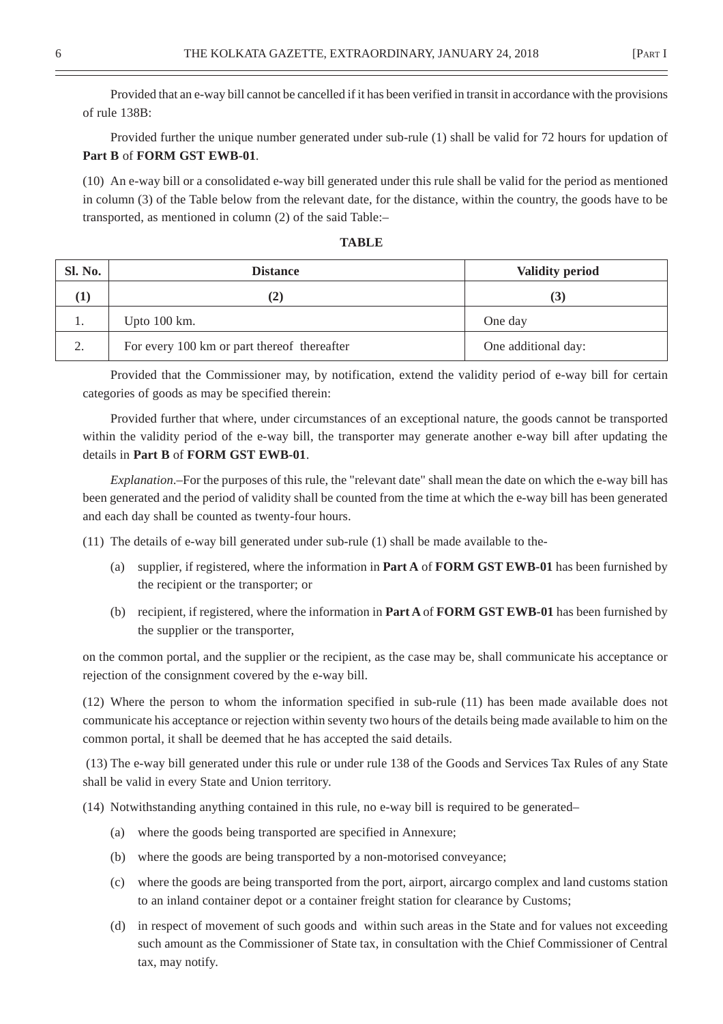Provided that an e-way bill cannot be cancelled if it has been verified in transit in accordance with the provisions of rule 138B:

Provided further the unique number generated under sub-rule (1) shall be valid for 72 hours for updation of **Part B** of **FORM GST EWB-01**.

(10) An e-way bill or a consolidated e-way bill generated under this rule shall be valid for the period as mentioned in column (3) of the Table below from the relevant date, for the distance, within the country, the goods have to be transported, as mentioned in column (2) of the said Table:–

|--|--|

| Sl. No.        | <b>Distance</b>                             | <b>Validity period</b> |
|----------------|---------------------------------------------|------------------------|
| $\bf{l}$       | (2)                                         | (3)                    |
| ı.             | Upto $100 \text{ km}$ .                     | One day                |
| $\gamma$<br>۷. | For every 100 km or part thereof thereafter | One additional day:    |

Provided that the Commissioner may, by notification, extend the validity period of e-way bill for certain categories of goods as may be specified therein:

Provided further that where, under circumstances of an exceptional nature, the goods cannot be transported within the validity period of the e-way bill, the transporter may generate another e-way bill after updating the details in **Part B** of **FORM GST EWB-01**.

*Explanation*.–For the purposes of this rule, the "relevant date" shall mean the date on which the e-way bill has been generated and the period of validity shall be counted from the time at which the e-way bill has been generated and each day shall be counted as twenty-four hours.

(11) The details of e-way bill generated under sub-rule (1) shall be made available to the-

- (a) supplier, if registered, where the information in **Part A** of **FORM GST EWB-01** has been furnished by the recipient or the transporter; or
- (b) recipient, if registered, where the information in **Part A** of **FORM GST EWB-01** has been furnished by the supplier or the transporter,

on the common portal, and the supplier or the recipient, as the case may be, shall communicate his acceptance or rejection of the consignment covered by the e-way bill.

(12) Where the person to whom the information specified in sub-rule (11) has been made available does not communicate his acceptance or rejection within seventy two hours of the details being made available to him on the common portal, it shall be deemed that he has accepted the said details.

 (13) The e-way bill generated under this rule or under rule 138 of the Goods and Services Tax Rules of any State shall be valid in every State and Union territory.

(14) Notwithstanding anything contained in this rule, no e-way bill is required to be generated–

- (a) where the goods being transported are specified in Annexure;
- (b) where the goods are being transported by a non-motorised conveyance;
- (c) where the goods are being transported from the port, airport, aircargo complex and land customs station to an inland container depot or a container freight station for clearance by Customs;
- (d) in respect of movement of such goods and within such areas in the State and for values not exceeding such amount as the Commissioner of State tax, in consultation with the Chief Commissioner of Central tax, may notify.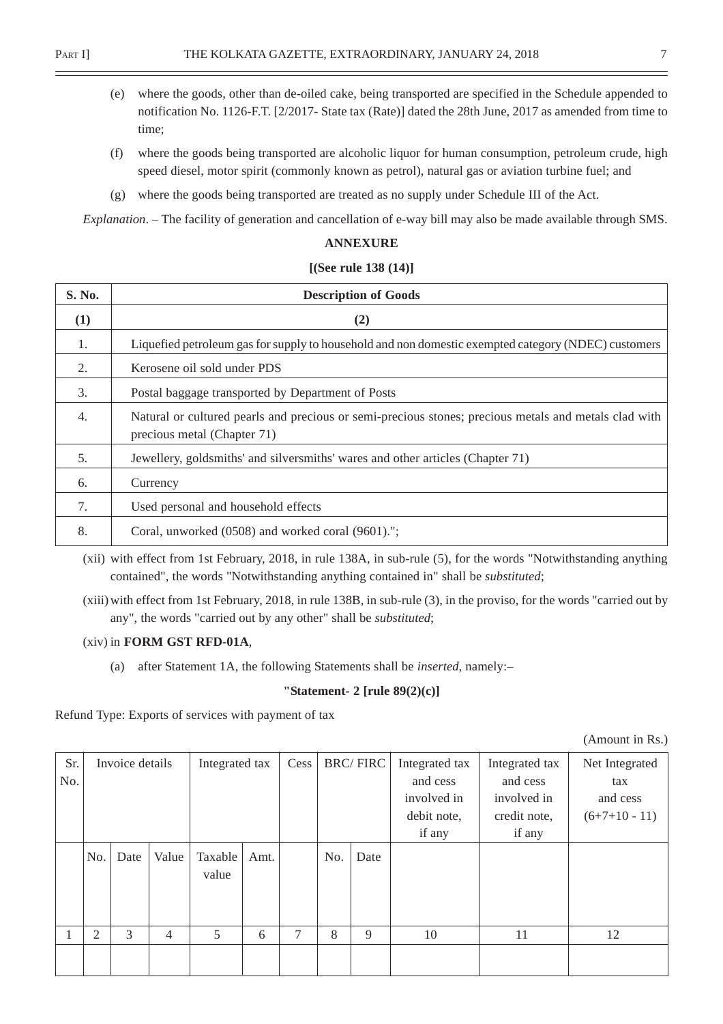- (e) where the goods, other than de-oiled cake, being transported are specified in the Schedule appended to notification No. 1126-F.T. [2/2017- State tax (Rate)] dated the 28th June, 2017 as amended from time to time;
- (f) where the goods being transported are alcoholic liquor for human consumption, petroleum crude, high speed diesel, motor spirit (commonly known as petrol), natural gas or aviation turbine fuel; and
- (g) where the goods being transported are treated as no supply under Schedule III of the Act.

*Explanation*. – The facility of generation and cancellation of e-way bill may also be made available through SMS.

#### **ANNEXURE**

#### **[(See rule 138 (14)]**

| S. No. | <b>Description of Goods</b>                                                                                                          |  |  |  |  |
|--------|--------------------------------------------------------------------------------------------------------------------------------------|--|--|--|--|
| (1)    | (2)                                                                                                                                  |  |  |  |  |
| 1.     | Liquefied petroleum gas for supply to household and non domestic exempted category (NDEC) customers                                  |  |  |  |  |
| 2.     | Kerosene oil sold under PDS                                                                                                          |  |  |  |  |
| 3.     | Postal baggage transported by Department of Posts                                                                                    |  |  |  |  |
| 4.     | Natural or cultured pearls and precious or semi-precious stones; precious metals and metals clad with<br>precious metal (Chapter 71) |  |  |  |  |
| 5.     | Jewellery, goldsmiths' and silversmiths' wares and other articles (Chapter 71)                                                       |  |  |  |  |
| 6.     | Currency                                                                                                                             |  |  |  |  |
| 7.     | Used personal and household effects                                                                                                  |  |  |  |  |
| 8.     | Coral, unworked (0508) and worked coral (9601).";                                                                                    |  |  |  |  |

(xii) with effect from 1st February, 2018, in rule 138A, in sub-rule (5), for the words "Notwithstanding anything contained", the words "Notwithstanding anything contained in" shall be *substituted*;

(xiii) with effect from 1st February, 2018, in rule 138B, in sub-rule (3), in the proviso, for the words "carried out by any", the words "carried out by any other" shall be *substituted*;

#### (xiv) in **FORM GST RFD-01A**,

(a) after Statement 1A, the following Statements shall be *inserted*, namely:–

#### **"Statement- 2 [rule 89(2)(c)]**

Refund Type: Exports of services with payment of tax

(Amount in Rs.)

| Sr.<br>No. |     | Invoice details |                | Integrated tax   |      | Cess | <b>BRC/FIRC</b> |      | Integrated tax<br>and cess<br>involved in<br>debit note,<br>if any | Integrated tax<br>and cess<br>involved in<br>credit note,<br>if any | Net Integrated<br>tax<br>and cess<br>$(6+7+10-11)$ |
|------------|-----|-----------------|----------------|------------------|------|------|-----------------|------|--------------------------------------------------------------------|---------------------------------------------------------------------|----------------------------------------------------|
|            | No. | Date            | Value          | Taxable<br>value | Amt. |      | No.             | Date |                                                                    |                                                                     |                                                    |
|            | 2   | 3               | $\overline{4}$ | $5\overline{)}$  | 6    | 7    | 8               | 9    | 10                                                                 | 11                                                                  | 12                                                 |
|            |     |                 |                |                  |      |      |                 |      |                                                                    |                                                                     |                                                    |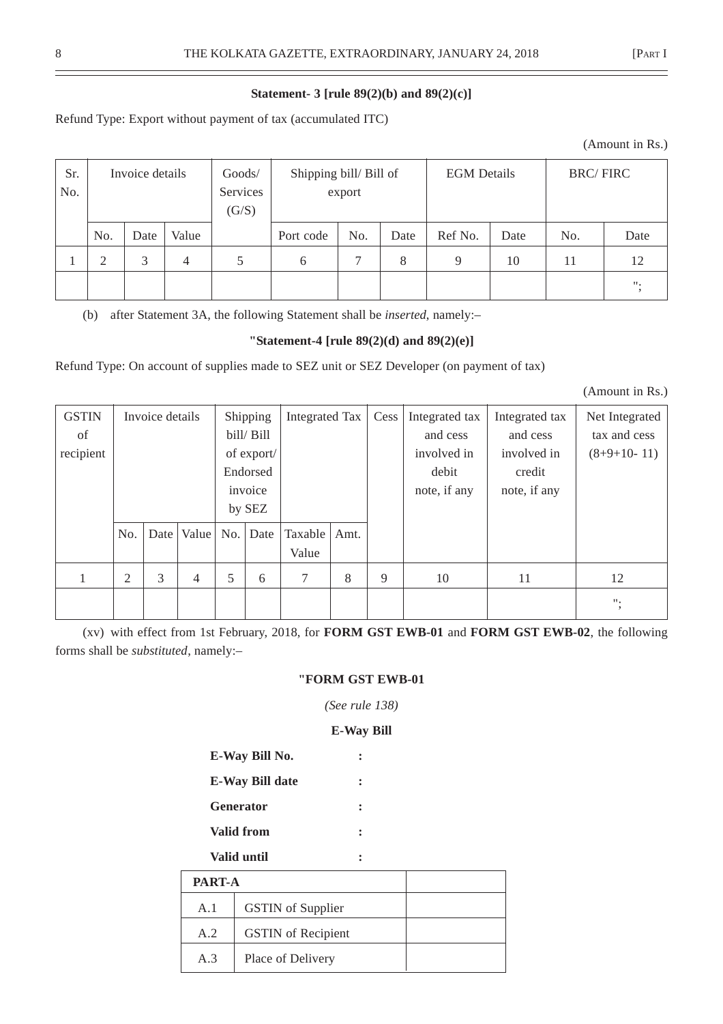# **Statement- 3 [rule 89(2)(b) and 89(2)(c)]**

Refund Type: Export without payment of tax (accumulated ITC)

| Sr.<br>No. | Invoice details |      | Goods/<br>Services<br>(G/S) | Shipping bill/Bill of<br>export |           | <b>EGM</b> Details |      | <b>BRC/FIRC</b> |      |     |                    |
|------------|-----------------|------|-----------------------------|---------------------------------|-----------|--------------------|------|-----------------|------|-----|--------------------|
|            | No.             | Date | Value                       |                                 | Port code | No.                | Date | Ref No.         | Date | No. | Date               |
|            | ∍               | 3    | 4                           | 5                               | 6         | ⇁                  | 8    | $\mathbf Q$     | 10   | 11  | 12                 |
|            |                 |      |                             |                                 |           |                    |      |                 |      |     | $\boldsymbol{m}_i$ |

(b) after Statement 3A, the following Statement shall be *inserted*, namely:–

# **"Statement-4 [rule 89(2)(d) and 89(2)(e)]**

Refund Type: On account of supplies made to SEZ unit or SEZ Developer (on payment of tax)

(Amount in Rs.)

| <b>GSTIN</b> |     | Invoice details |                |            | Shipping   | Integrated Tax |      | Cess | Integrated tax | Integrated tax | Net Integrated    |             |               |
|--------------|-----|-----------------|----------------|------------|------------|----------------|------|------|----------------|----------------|-------------------|-------------|---------------|
| of           |     |                 |                |            | bill/ Bill |                |      |      | and cess       | and cess       | tax and cess      |             |               |
| recipient    |     |                 |                | of export/ |            |                |      |      |                |                | involved in       | involved in | $(8+9+10-11)$ |
|              |     |                 |                |            | Endorsed   |                |      |      | debit          | credit         |                   |             |               |
|              |     |                 |                |            | invoice    |                |      |      | note, if any   | note, if any   |                   |             |               |
|              |     |                 |                |            | by SEZ     |                |      |      |                |                |                   |             |               |
|              | No. | Date            | Value          | No.        | Date       | Taxable        | Amt. |      |                |                |                   |             |               |
|              |     |                 |                |            |            | Value          |      |      |                |                |                   |             |               |
|              | 2   | 3               | $\overline{4}$ | 5          | 6          | 7              | 8    | 9    | 10             | 11             | 12                |             |               |
|              |     |                 |                |            |            |                |      |      |                |                | $\mathbf{u}_\ast$ |             |               |

(xv) with effect from 1st February, 2018, for **FORM GST EWB-01** and **FORM GST EWB-02**, the following forms shall be *substituted*, namely:–

# **"FORM GST EWB-01**

*(See rule 138)*

# **E-Way Bill**

| E-Way Bill No.         |  |
|------------------------|--|
| <b>E-Way Bill date</b> |  |
| <b>Generator</b>       |  |
|                        |  |

**Valid from :**

# **Valid until :**

|     | <b>PART-A</b>             |  |  |  |  |  |
|-----|---------------------------|--|--|--|--|--|
| A.1 | <b>GSTIN</b> of Supplier  |  |  |  |  |  |
| A.2 | <b>GSTIN</b> of Recipient |  |  |  |  |  |
| A.3 | Place of Delivery         |  |  |  |  |  |

(Amount in Rs.)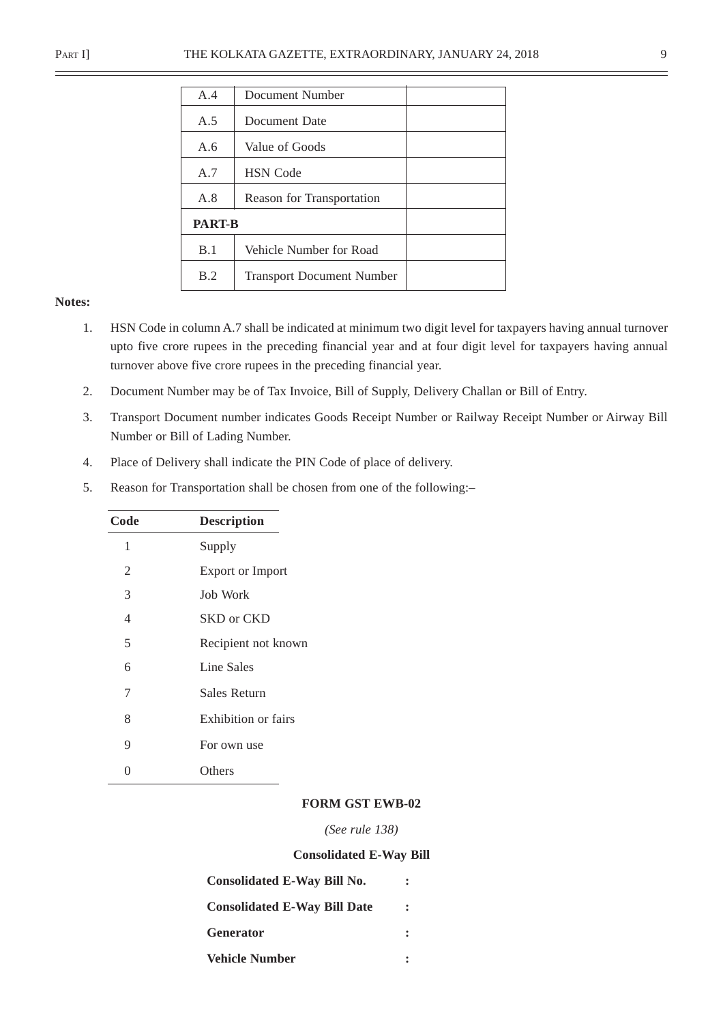| A.4                                     | Document Number           |  |  |  |
|-----------------------------------------|---------------------------|--|--|--|
| A.5                                     | Document Date             |  |  |  |
| A.6                                     | Value of Goods            |  |  |  |
| A.7                                     | <b>HSN</b> Code           |  |  |  |
| A.8                                     | Reason for Transportation |  |  |  |
| <b>PART-B</b>                           |                           |  |  |  |
| B.1                                     | Vehicle Number for Road   |  |  |  |
| B.2<br><b>Transport Document Number</b> |                           |  |  |  |

#### **Notes:**

- 1. HSN Code in column A.7 shall be indicated at minimum two digit level for taxpayers having annual turnover upto five crore rupees in the preceding financial year and at four digit level for taxpayers having annual turnover above five crore rupees in the preceding financial year.
- 2. Document Number may be of Tax Invoice, Bill of Supply, Delivery Challan or Bill of Entry.
- 3. Transport Document number indicates Goods Receipt Number or Railway Receipt Number or Airway Bill Number or Bill of Lading Number.
- 4. Place of Delivery shall indicate the PIN Code of place of delivery.
- 5. Reason for Transportation shall be chosen from one of the following:–

| Code | <b>Description</b>      |
|------|-------------------------|
| 1    | Supply                  |
| 2    | <b>Export or Import</b> |
| 3    | Job Work                |
| 4    | SKD or CKD              |
| 5    | Recipient not known     |
| 6    | Line Sales              |
| 7    | Sales Return            |
| 8    | Exhibition or fairs     |
| 9    | For own use             |
| 0    | Others                  |
|      |                         |

#### **FORM GST EWB-02**

*(See rule 138)*

#### **Consolidated E-Way Bill**

| <b>Consolidated E-Way Bill No.</b>  |  |
|-------------------------------------|--|
| <b>Consolidated E-Way Bill Date</b> |  |
| <b>Generator</b>                    |  |
| <b>Vehicle Number</b>               |  |